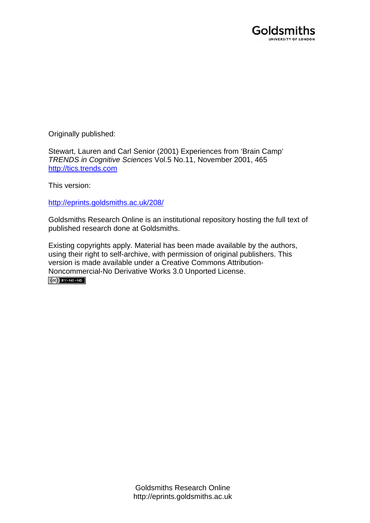

Originally published:

Stewart, Lauren and Carl Senior (2001) Experiences from 'Brain Camp' *TRENDS in Cognitive Sciences* Vol.5 No.11, November 2001, 465 [http://tics.trends.com](http://tics.trends.com/)

This version:

<http://eprints.goldsmiths.ac.uk/208/>

Goldsmiths Research Online is an institutional repository hosting the full text of published research done at Goldsmiths.

Existing copyrights apply. Material has been made available by the authors, using their right to self-archive, with permission of original publishers. This version is made available under a Creative Commons Attribution-Noncommercial-No Derivative Works 3.0 Unported License.  $(C<sub>c</sub>)$  BY-NC-ND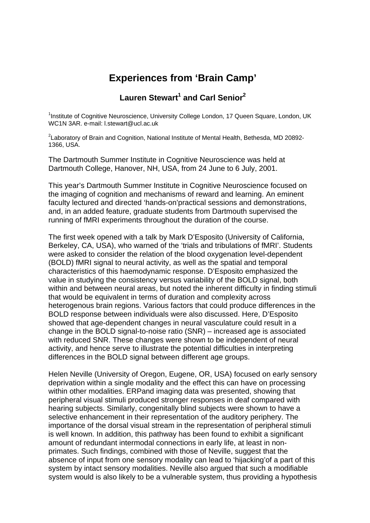## **Experiences from 'Brain Camp'**

## Lauren Stewart<sup>1</sup> and Carl Senior<sup>2</sup>

<sup>1</sup>Institute of Cognitive Neuroscience, University College London, 17 Queen Square, London, UK WC1N 3AR. e-mail: l.stewart@ucl.ac.uk

<sup>2</sup>Laboratory of Brain and Cognition, National Institute of Mental Health, Bethesda, MD 20892-1366, USA.

The Dartmouth Summer Institute in Cognitive Neuroscience was held at Dartmouth College, Hanover, NH, USA, from 24 June to 6 July, 2001.

This year's Dartmouth Summer Institute in Cognitive Neuroscience focused on the imaging of cognition and mechanisms of reward and learning. An eminent faculty lectured and directed 'hands-on'practical sessions and demonstrations, and, in an added feature, graduate students from Dartmouth supervised the running of fMRI experiments throughout the duration of the course.

The first week opened with a talk by Mark D'Esposito (University of California, Berkeley, CA, USA), who warned of the 'trials and tribulations of fMRI'. Students were asked to consider the relation of the blood oxygenation level-dependent (BOLD) fMRI signal to neural activity, as well as the spatial and temporal characteristics of this haemodynamic response. D'Esposito emphasized the value in studying the consistency versus variability of the BOLD signal, both within and between neural areas, but noted the inherent difficulty in finding stimuli that would be equivalent in terms of duration and complexity across heterogenous brain regions. Various factors that could produce differences in the BOLD response between individuals were also discussed. Here, D'Esposito showed that age-dependent changes in neural vasculature could result in a change in the BOLD signal-to-noise ratio (SNR) – increased age is associated with reduced SNR. These changes were shown to be independent of neural activity, and hence serve to illustrate the potential difficulties in interpreting differences in the BOLD signal between different age groups.

Helen Neville (University of Oregon, Eugene, OR, USA) focused on early sensory deprivation within a single modality and the effect this can have on processing within other modalities. ERPand imaging data was presented, showing that peripheral visual stimuli produced stronger responses in deaf compared with hearing subjects. Similarly, congenitally blind subjects were shown to have a selective enhancement in their representation of the auditory periphery. The importance of the dorsal visual stream in the representation of peripheral stimuli is well known. In addition, this pathway has been found to exhibit a significant amount of redundant intermodal connections in early life, at least in nonprimates. Such findings, combined with those of Neville, suggest that the absence of input from one sensory modality can lead to 'hijacking'of a part of this system by intact sensory modalities. Neville also argued that such a modifiable system would is also likely to be a vulnerable system, thus providing a hypothesis